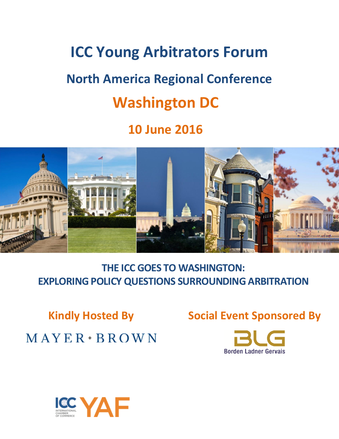# **ICC Young Arbitrators Forum**

# **North America Regional Conference**

## **Washington DC**

## **10 June 2016**



**THE ICC GOES TO WASHINGTON: EXPLORING POLICY QUESTIONS SURROUNDING ARBITRATION**

 $MAYER * BROWN$ 

**Kindly Hosted By Social Event Sponsored By**



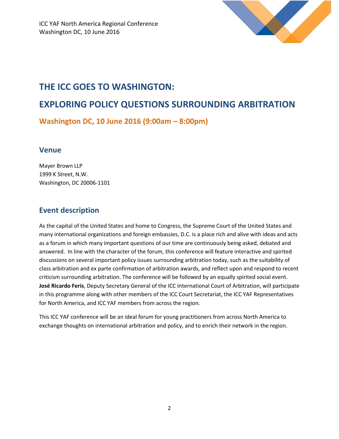

## **THE ICC GOES TO WASHINGTON:**

## **EXPLORING POLICY QUESTIONS SURROUNDING ARBITRATION**

**Washington DC, 10 June 2016 (9:00am – 8:00pm)**

#### **Venue**

Mayer Brown LLP 1999 K Street, N.W. Washington, DC 20006-1101

### **Event description**

As the capital of the United States and home to Congress, the Supreme Court of the United States and many international organizations and foreign embassies, D.C. is a place rich and alive with ideas and acts as a forum in which many important questions of our time are continuously being asked, debated and answered. In line with the character of the forum, this conference will feature interactive and spirited discussions on several important policy issues surrounding arbitration today, such as the suitability of class arbitration and ex parte confirmation of arbitration awards, and reflect upon and respond to recent criticism surrounding arbitration. The conference will be followed by an equally spirited social event. **José Ricardo Feris**, Deputy Secretary General of the ICC International Court of Arbitration, will participate in this programme along with other members of the ICC Court Secretariat, the ICC YAF Representatives for North America, and ICC YAF members from across the region.

This ICC YAF conference will be an ideal forum for young practitioners from across North America to exchange thoughts on international arbitration and policy, and to enrich their network in the region.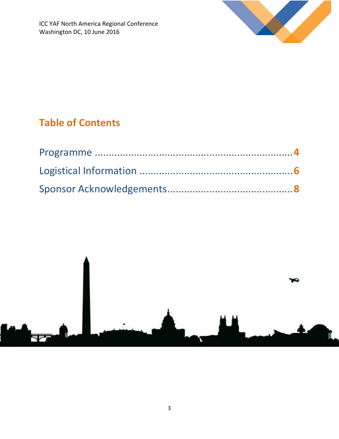

## **Table of Contents**

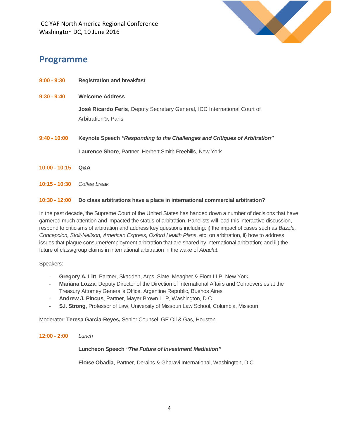

### **Programme**

- **9:00 - 9:30 Registration and breakfast**
- **9:30 - 9:40 Welcome Address**

**José Ricardo Feris**, Deputy Secretary General, ICC International Court of Arbitration®, Paris

- **9:40 - 10:00 Keynote Speech** *"Responding to the Challenges and Critiques of Arbitration"* **Laurence Shore**, Partner, Herbert Smith Freehills, New York
- **10:00 - 10:15 Q&A**
- **10:15 - 10:30** *Coffee break*

#### **10:30 - 12:00 Do class arbitrations have a place in international commercial arbitration?**

In the past decade, the Supreme Court of the United States has handed down a number of decisions that have garnered much attention and impacted the status of arbitration. Panelists will lead this interactive discussion, respond to criticisms of arbitration and address key questions including: i) the impact of cases such as *Bazzle, Concepcion, Stolt-Neilson, American Express, Oxford Health Plans*, etc. on arbitration, ii) how to address issues that plague consumer/employment arbitration that are shared by international arbitration; and iii) the future of class/group claims in international arbitration in the wake of *Abaclat*.

Speakers:

- **Gregory A. Litt**, Partner, Skadden, Arps, Slate, Meagher & Flom LLP, New York
- Mariana Lozza, Deputy Director of the Direction of International Affairs and Controversies at the Treasury Attorney General's Office, Argentine Republic, Buenos Aires
- **Andrew J. Pincus**, Partner, Mayer Brown LLP, Washington, D.C.
- **S.I. Strong**, Professor of Law, University of Missouri Law School, Columbia, Missouri

Moderator: **Teresa Garcia-Reyes,** Senior Counsel, GE Oil & Gas, Houston

#### **12:00 - 2:00** *Lunch*

#### **Luncheon Speech** *"The Future of Investment Mediation"*

**Eloïse Obadia**, Partner, Derains & Gharavi International, Washington, D.C.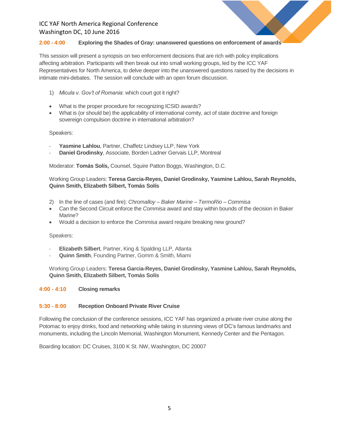#### **2:00 - 4:00 Exploring the Shades of Gray: unanswered questions on enforcement of awards**

This session will present a synopsis on two enforcement decisions that are rich with policy implications affecting arbitration. Participants will then break out into small working groups, led by the ICC YAF Representatives for North America, to delve deeper into the unanswered questions raised by the decisions in intimate mini-debates. The session will conclude with an open forum discussion.

- 1) *Micula v. Gov't of Romania*: which court got it right?
- What is the proper procedure for recognizing ICSID awards?
- What is (or should be) the applicability of international comity, act of state doctrine and foreign sovereign compulsion doctrine in international arbitration?

#### Speakers:

- Yasmine Lahlou, Partner, Chaffetz Lindsey LLP, New York
- Daniel Grodinsky, Associate, Borden Ladner Gervais LLP, Montreal

Moderator: **Tomás Solís,** Counsel, Squire Patton Boggs, Washington, D.C.

#### Working Group Leaders: **Teresa Garcia-Reyes, Daniel Grodinsky, Yasmine Lahlou, Sarah Reynolds, Quinn Smith, Elizabeth Silbert, Tomás Solís**

- 2) In the line of cases (and fire): *Chromalloy – Baker Marine – TermoRio – Commisa*
- Can the Second Circuit enforce the *Commisa* award and stay within bounds of the decision in Baker Marine?
- Would a decision to enforce the *Commisa* award require breaking new ground?

#### Speakers:

- **Elizabeth Silbert**, Partner, King & Spalding LLP, Atlanta
- **Quinn Smith**, Founding Partner, Gomm & Smith, Miami

Working Group Leaders: **Teresa Garcia-Reyes, Daniel Grodinsky, Yasmine Lahlou, Sarah Reynolds, Quinn Smith, Elizabeth Silbert, Tomás Solís**

#### **4:00 - 4:10 Closing remarks**

#### **5:30 - 8:00 Reception Onboard Private River Cruise**

Following the conclusion of the conference sessions, ICC YAF has organized a private river cruise along the Potomac to enjoy drinks, food and networking while taking in stunning views of DC's famous landmarks and monuments, including the Lincoln Memorial, Washington Monument, Kennedy Center and the Pentagon.

Boarding location: DC Cruises, 3100 K St. NW, Washington, DC 20007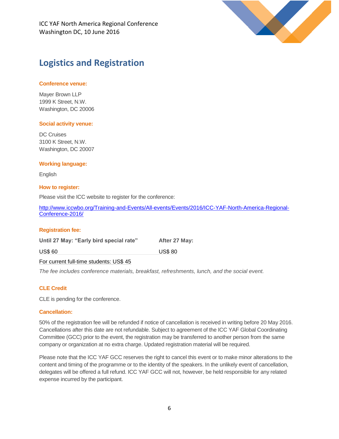

## **Logistics and Registration**

#### **Conference venue:**

Mayer Brown LLP 1999 K Street, N.W. Washington, DC 20006

#### **Social activity venue:**

DC Cruises 3100 K Street, N.W. Washington, DC 20007

#### **Working language:**

English

#### **How to register:**

Please visit the ICC website to register for the conference:

[http://www.iccwbo.org/Training-and-Events/All-events/Events/2016/ICC-YAF-North-America-Regional-](http://www.iccwbo.org/Training-and-Events/All-events/Events/2016/ICC-YAF-North-America-Regional-Conference-2016/)[Conference-2016/](http://www.iccwbo.org/Training-and-Events/All-events/Events/2016/ICC-YAF-North-America-Regional-Conference-2016/) 

#### **Registration fee:**

Until 27 May: "Early bird special rate" After 27 May: US\$ 60 US\$ 80

For current full-time students: US\$ 45

*The fee includes conference materials, breakfast, refreshments, lunch, and the social event.* 

#### **CLE Credit**

CLE is pending for the conference.

#### **Cancellation:**

50% of the registration fee will be refunded if notice of cancellation is received in writing before 20 May 2016. Cancellations after this date are not refundable. Subject to agreement of the ICC YAF Global Coordinating Committee (GCC) prior to the event, the registration may be transferred to another person from the same company or organization at no extra charge. Updated registration material will be required.

Please note that the ICC YAF GCC reserves the right to cancel this event or to make minor alterations to the content and timing of the programme or to the identity of the speakers. In the unlikely event of cancellation, delegates will be offered a full refund. ICC YAF GCC will not, however, be held responsible for any related expense incurred by the participant.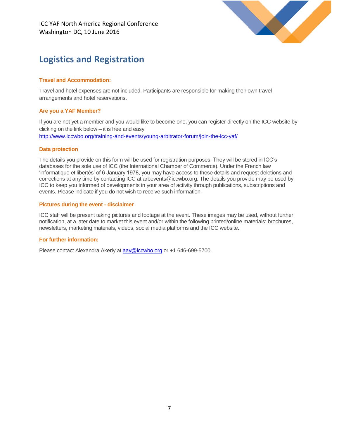

## **Logistics and Registration**

#### **Travel and Accommodation:**

Travel and hotel expenses are not included. Participants are responsible for making their own travel arrangements and hotel reservations.

#### **Are you a YAF Member?**

If you are not yet a member and you would like to become one, you can register directly on the ICC website by clicking on the link below – it is free and easy! <http://www.iccwbo.org/training-and-events/young-arbitrator-forum/join-the-icc-yaf/>

#### **Data protection**

The details you provide on this form will be used for registration purposes. They will be stored in ICC's databases for the sole use of ICC (the International Chamber of Commerce). Under the French law 'informatique et libertés' of 6 January 1978, you may have access to these details and request deletions and corrections at any time by contacting ICC at arbevents@iccwbo.org. The details you provide may be used by ICC to keep you informed of developments in your area of activity through publications, subscriptions and events. Please indicate if you do not wish to receive such information.

#### **Pictures during the event - disclaimer**

ICC staff will be present taking pictures and footage at the event. These images may be used, without further notification, at a later date to market this event and/or within the following printed/online materials: brochures, newsletters, marketing materials, videos, social media platforms and the ICC website.

#### **For further information:**

Please contact Alexandra Akerly a[t aay@iccwbo.org](mailto:aay@iccwbo.org) or +1 646-699-5700.